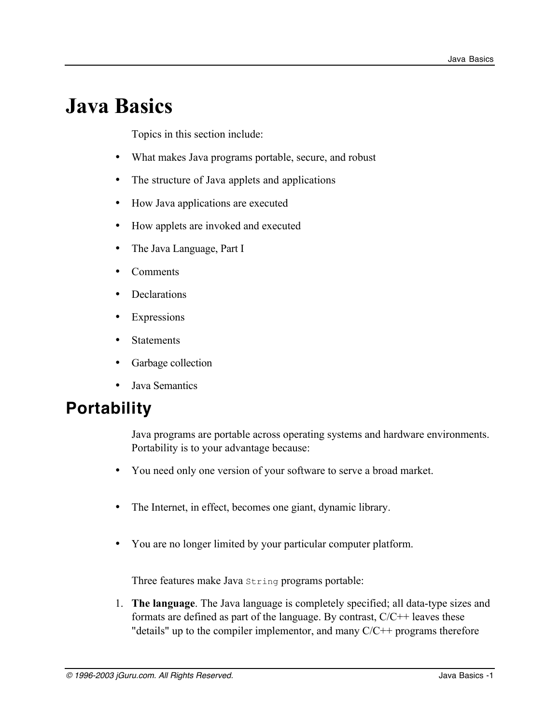# **Java Basics**

Topics in this section include:

What makes Java programs portable, secure, and robust

The structure of Java applets and applications

How Java applications are executed

How applets are invoked and executed

The Java Language, Part I

**Comments** 

**Declarations** 

Expressions

**Statements** 

Garbage collection

Java Semantics

### **Portability**

Java programs are portable across operating systems and hardware environments. Portability is to your advantage because:

You need only one version of your software to serve a broad market.

The Internet, in effect, becomes one giant, dynamic library.

You are no longer limited by your particular computer platform.

Three features make Java String programs portable:

1. **The language**. The Java language is completely specified; all data-type sizes and formats are defined as part of the language. By contrast,  $C/C++$  leaves these "details" up to the compiler implementor, and many C/C++ programs therefore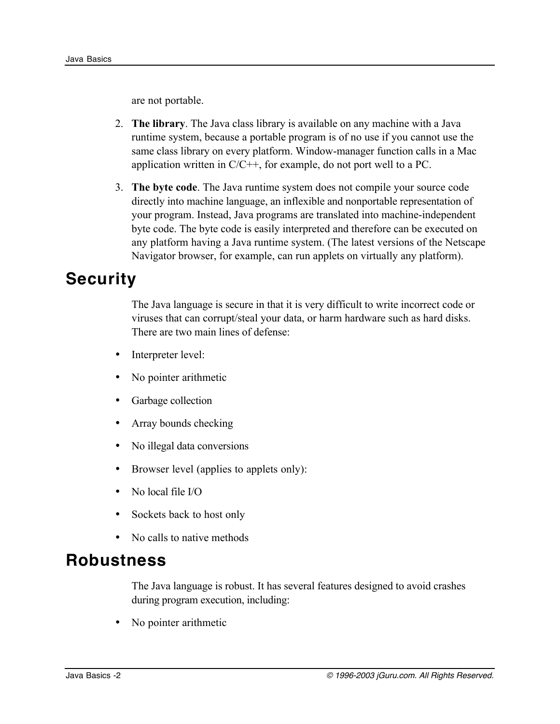are not portable.

- 2. **The library**. The Java class library is available on any machine with a Java runtime system, because a portable program is of no use if you cannot use the same class library on every platform. Window-manager function calls in a Mac application written in C/C++, for example, do not port well to a PC.
- 3. **The byte code**. The Java runtime system does not compile your source code directly into machine language, an inflexible and nonportable representation of your program. Instead, Java programs are translated into machine-independent byte code. The byte code is easily interpreted and therefore can be executed on any platform having a Java runtime system. (The latest versions of the Netscape Navigator browser, for example, can run applets on virtually any platform).

### **Security**

The Java language is secure in that it is very difficult to write incorrect code or viruses that can corrupt/steal your data, or harm hardware such as hard disks. There are two main lines of defense:

Interpreter level:

No pointer arithmetic

Garbage collection

Array bounds checking

No illegal data conversions

Browser level (applies to applets only):

No local file I/O

Sockets back to host only

No calls to native methods

### **Robustness**

The Java language is robust. It has several features designed to avoid crashes during program execution, including:

No pointer arithmetic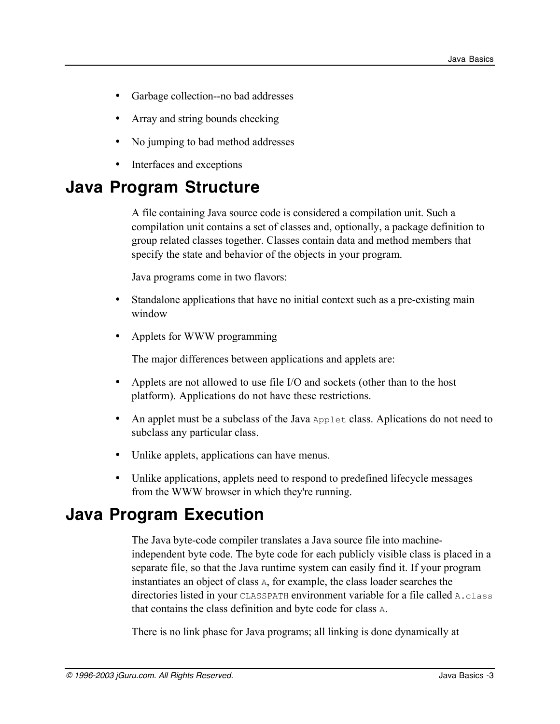Garbage collection--no bad addresses

Array and string bounds checking

No jumping to bad method addresses

Interfaces and exceptions

### **Java Program Structure**

A file containing Java source code is considered a compilation unit. Such a compilation unit contains a set of classes and, optionally, a package definition to group related classes together. Classes contain data and method members that specify the state and behavior of the objects in your program.

Java programs come in two flavors:

Standalone applications that have no initial context such as a pre-existing main window

Applets for WWW programming

The major differences between applications and applets are:

Applets are not allowed to use file I/O and sockets (other than to the host platform). Applications do not have these restrictions.

An applet must be a subclass of the Java Applet class. Aplications do not need to subclass any particular class.

Unlike applets, applications can have menus.

Unlike applications, applets need to respond to predefined lifecycle messages from the WWW browser in which they're running.

## **Java Program Execution**

The Java byte-code compiler translates a Java source file into machineindependent byte code. The byte code for each publicly visible class is placed in a separate file, so that the Java runtime system can easily find it. If your program instantiates an object of class A, for example, the class loader searches the directories listed in your CLASSPATH environment variable for a file called A.class that contains the class definition and byte code for class A.

There is no link phase for Java programs; all linking is done dynamically at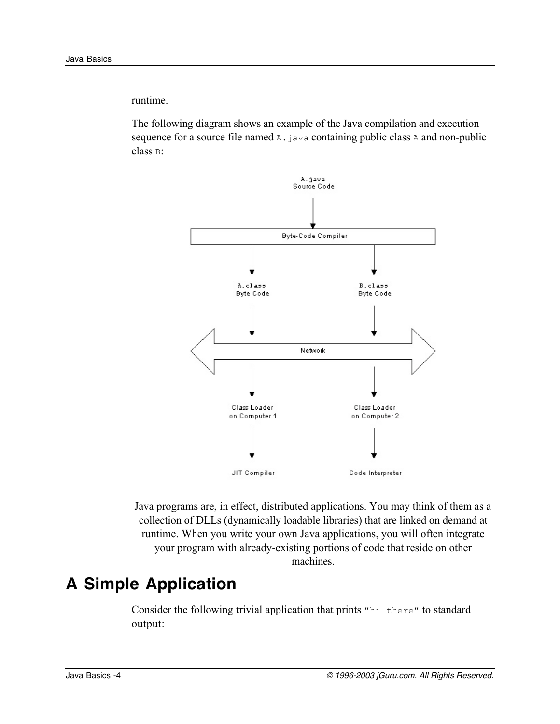runtime.

The following diagram shows an example of the Java compilation and execution sequence for a source file named  $A$ . java containing public class  $A$  and non-public class B:



Java programs are, in effect, distributed applications. You may think of them as a collection of DLLs (dynamically loadable libraries) that are linked on demand at runtime. When you write your own Java applications, you will often integrate your program with already-existing portions of code that reside on other machines.

# **A Simple Application**

Consider the following trivial application that prints "hi there" to standard output: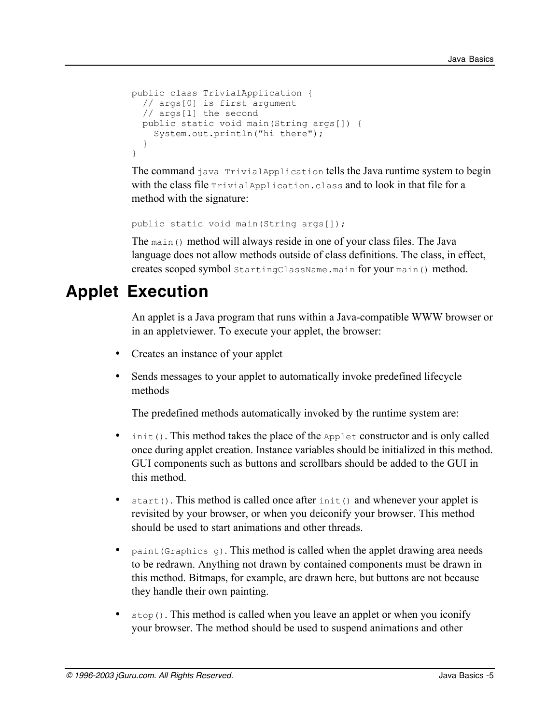```
public class TrivialApplication {
   // args[0] is first argument
   // args[1] the second
   public static void main(String args[]) {
     System.out.println("hi there");
   }
}
```
The command java TrivialApplication tells the Java runtime system to begin with the class file TrivialApplication.class and to look in that file for a method with the signature:

```
public static void main(String args[]);
```
The main() method will always reside in one of your class files. The Java language does not allow methods outside of class definitions. The class, in effect, creates scoped symbol StartingClassName.main for your main() method.

## **Applet Execution**

An applet is a Java program that runs within a Java-compatible WWW browser or in an appletviewer. To execute your applet, the browser:

Creates an instance of your applet

Sends messages to your applet to automatically invoke predefined lifecycle methods

The predefined methods automatically invoked by the runtime system are:

 $init()$ . This method takes the place of the  $Applet$  constructor and is only called once during applet creation. Instance variables should be initialized in this method. GUI components such as buttons and scrollbars should be added to the GUI in this method.

start(). This method is called once after init() and whenever your applet is revisited by your browser, or when you deiconify your browser. This method should be used to start animations and other threads.

paint (Graphics g). This method is called when the applet drawing area needs to be redrawn. Anything not drawn by contained components must be drawn in this method. Bitmaps, for example, are drawn here, but buttons are not because they handle their own painting.

 $\sigma$  (). This method is called when you leave an applet or when you iconify your browser. The method should be used to suspend animations and other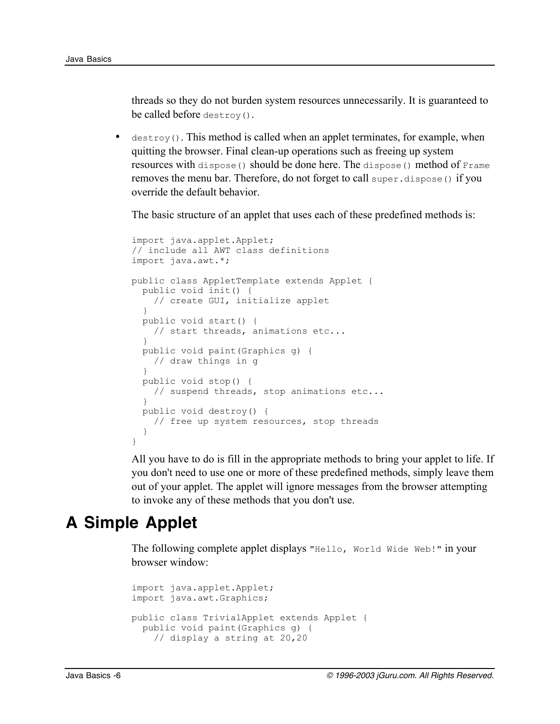threads so they do not burden system resources unnecessarily. It is guaranteed to be called before destroy().

 $\text{destrov}()$ . This method is called when an applet terminates, for example, when quitting the browser. Final clean-up operations such as freeing up system resources with dispose() should be done here. The dispose() method of Frame removes the menu bar. Therefore, do not forget to call super.dispose() if you override the default behavior.

The basic structure of an applet that uses each of these predefined methods is:

```
import java.applet.Applet;
// include all AWT class definitions
import java.awt.*;
public class AppletTemplate extends Applet {
   public void init() {
     // create GUI, initialize applet
   }
   public void start() {
     // start threads, animations etc...
  \overline{ } public void paint(Graphics g) {
     // draw things in g
 }
   public void stop() {
     // suspend threads, stop animations etc...
 }
   public void destroy() {
     // free up system resources, stop threads
 }
}
```
All you have to do is fill in the appropriate methods to bring your applet to life. If you don't need to use one or more of these predefined methods, simply leave them out of your applet. The applet will ignore messages from the browser attempting to invoke any of these methods that you don't use.

### **A Simple Applet**

The following complete applet displays "Hello, World Wide Web!" in your browser window:

```
import java.applet.Applet;
import java.awt.Graphics;
public class TrivialApplet extends Applet {
   public void paint(Graphics g) {
     // display a string at 20,20
```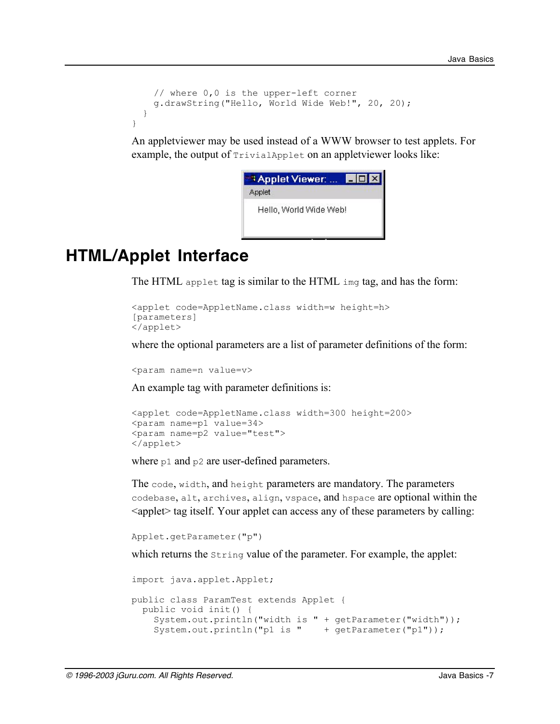```
 // where 0,0 is the upper-left corner
  g.drawString("Hello, World Wide Web!", 20, 20);
 }
```
An appletviewer may be used instead of a WWW browser to test applets. For example, the output of TrivialApplet on an appletviewer looks like:

| <b>Applet Viewer: </b> |  |
|------------------------|--|
| Applet                 |  |
| Hello, World Wide Web! |  |

### **HTML/Applet Interface**

}

The HTML applet tag is similar to the HTML img tag, and has the form:

```
<applet code=AppletName.class width=w height=h>
[parameters]
</applet>
```
where the optional parameters are a list of parameter definitions of the form:

<param name=n value=v>

An example tag with parameter definitions is:

```
<applet code=AppletName.class width=300 height=200>
<param name=p1 value=34>
<param name=p2 value="test">
</applet>
```
where p1 and p2 are user-defined parameters.

The code, width, and height parameters are mandatory. The parameters codebase, alt, archives, align, vspace, and hspace are optional within the  $\leq$ applet $\geq$  tag itself. Your applet can access any of these parameters by calling:

```
Applet.getParameter("p")
```
which returns the  $strinq$  value of the parameter. For example, the applet:

```
import java.applet.Applet;
public class ParamTest extends Applet {
   public void init() {
    System.out.println("width is " + qetParameter("width"));
    System.out.println("p1 is " + qetParameter("p1"));
```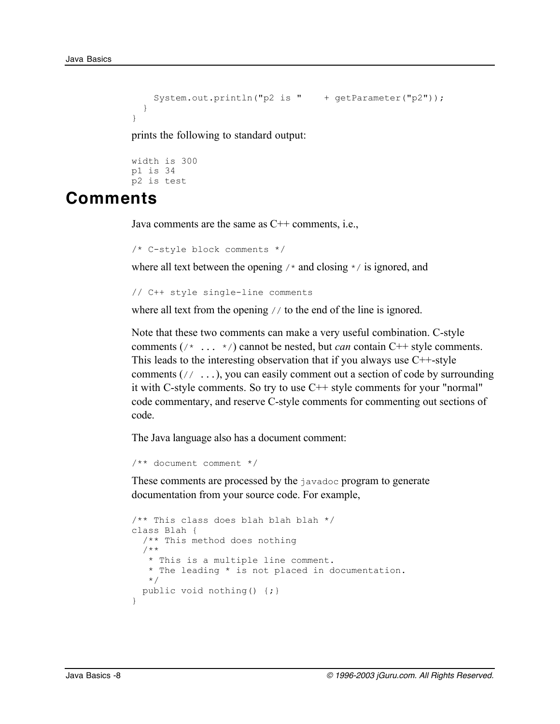```
System.out.println("p2 is " + getParameter("p2"));
  }
}
```
prints the following to standard output:

width is 300 p1 is 34 p2 is test

### **Comments**

Java comments are the same as C++ comments, i.e.,

```
/* C-style block comments */
```
where all text between the opening  $\prime*$  and closing  $\prime$  is ignored, and

```
// C++ style single-line comments
```
where all text from the opening // to the end of the line is ignored.

Note that these two comments can make a very useful combination. C-style comments ( $\forall$  ...  $\star$  ) cannot be nested, but *can* contain C++ style comments. This leads to the interesting observation that if you always use  $C^{++}$ -style comments  $// \dots$ , you can easily comment out a section of code by surrounding it with C-style comments. So try to use C++ style comments for your "normal" code commentary, and reserve C-style comments for commenting out sections of code.

The Java language also has a document comment:

```
/** document comment */
```
These comments are processed by the javadoc program to generate documentation from your source code. For example,

```
/** This class does blah blah blah */
class Blah {
  /** This method does nothing
   /**
    * This is a multiple line comment.
   * The leading * is not placed in documentation.
    */
  public void nothing() {;}
}
```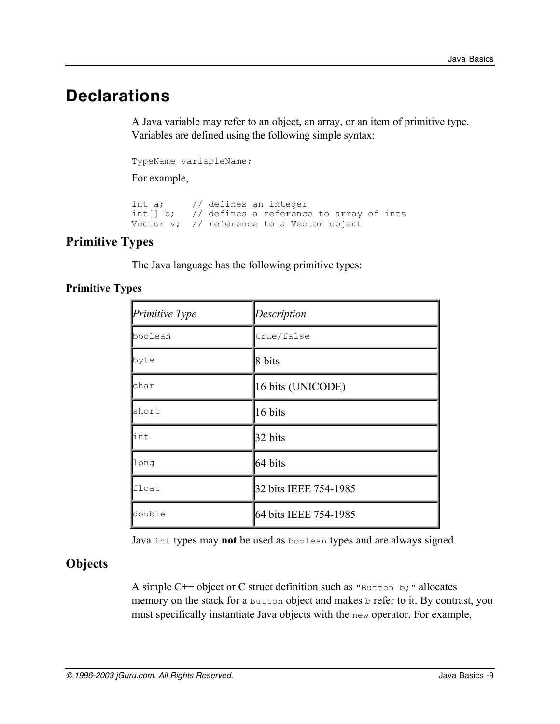# **Declarations**

A Java variable may refer to an object, an array, or an item of primitive type. Variables are defined using the following simple syntax:

TypeName variableName;

For example,

```
int a; // defines an integer
int[] b; // defines a reference to array of ints
Vector v; // reference to a Vector object
```
### **Primitive Types**

The Java language has the following primitive types:

#### **Primitive Types**

| Primitive Type | Description           |
|----------------|-----------------------|
| boolean        | true/false            |
| byte           | 8 bits                |
| char           | 16 bits (UNICODE)     |
| short          | 16 bits               |
| int            | 32 bits               |
| long           | 64 bits               |
| float          | 32 bits IEEE 754-1985 |
| double         | 64 bits IEEE 754-1985 |

Java int types may **not** be used as boolean types and are always signed.

### **Objects**

A simple  $C++$  object or C struct definition such as "Button b; " allocates memory on the stack for a Button object and makes b refer to it. By contrast, you must specifically instantiate Java objects with the new operator. For example,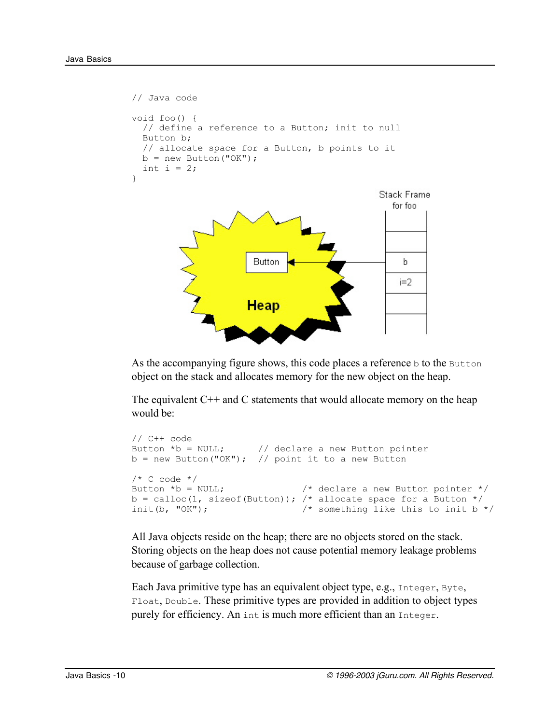```
// Java code
void foo() {
   // define a reference to a Button; init to null
   Button b;
   // allocate space for a Button, b points to it
  b = new Button('OK'');int i = 2;
}
                                                Stack Frame
                                                   for foo
                        Button
                                                     b
                                                    i=2Heap
```
As the accompanying figure shows, this code places a reference b to the Button object on the stack and allocates memory for the new object on the heap.

The equivalent  $C++$  and  $C$  statements that would allocate memory on the heap would be:

```
// C++ code
Button *b = NULL; // declare a new Button pointer
b = new Button("OK"); // point it to a new Button/* C code */<br>Button *b = NULL;
                                  /* declare a new Button pointer */b = \text{calloc}(1, \text{sizeof}(\text{Button})); /* allocate space for a Button */
init(b, "OK"); \frac{1}{2} /* something like this to init b */
```
All Java objects reside on the heap; there are no objects stored on the stack. Storing objects on the heap does not cause potential memory leakage problems because of garbage collection.

Each Java primitive type has an equivalent object type, e.g., Integer, Byte, Float, Double. These primitive types are provided in addition to object types purely for efficiency. An int is much more efficient than an Integer.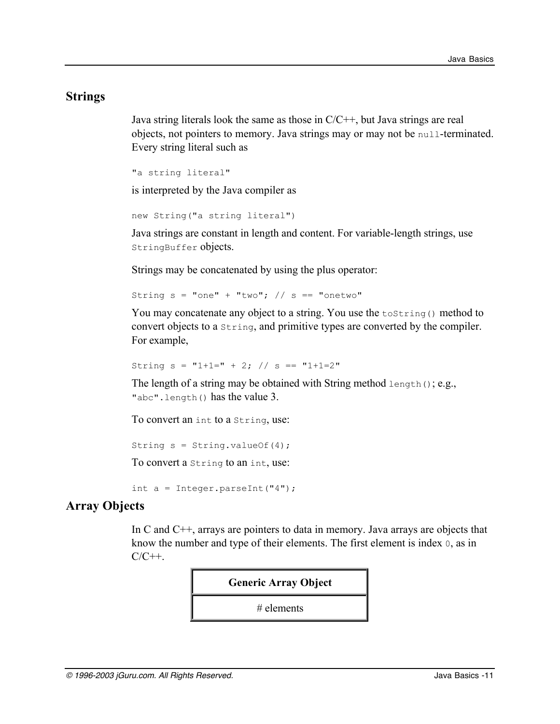#### **Strings**

Java string literals look the same as those in C/C++, but Java strings are real objects, not pointers to memory. Java strings may or may not be null-terminated. Every string literal such as

```
"a string literal"
```
is interpreted by the Java compiler as

```
new String("a string literal")
```
Java strings are constant in length and content. For variable-length strings, use StringBuffer objects.

Strings may be concatenated by using the plus operator:

String  $s = "one" + "two"; // s == "onetwo"$ 

You may concatenate any object to a string. You use the tostring() method to convert objects to a String, and primitive types are converted by the compiler. For example,

String  $s = "1+1=" + 2; // s == "1+1=2"$ 

The length of a string may be obtained with String method length(); e.g., "abc".length() has the value 3.

To convert an int to a String, use:

String  $s = String.valueOf(4)$ ;

To convert a String to an int, use:

int  $a = Integer.parseInt("4");$ 

#### **Array Objects**

In C and C++, arrays are pointers to data in memory. Java arrays are objects that know the number and type of their elements. The first element is index 0, as in  $C/C++$ .

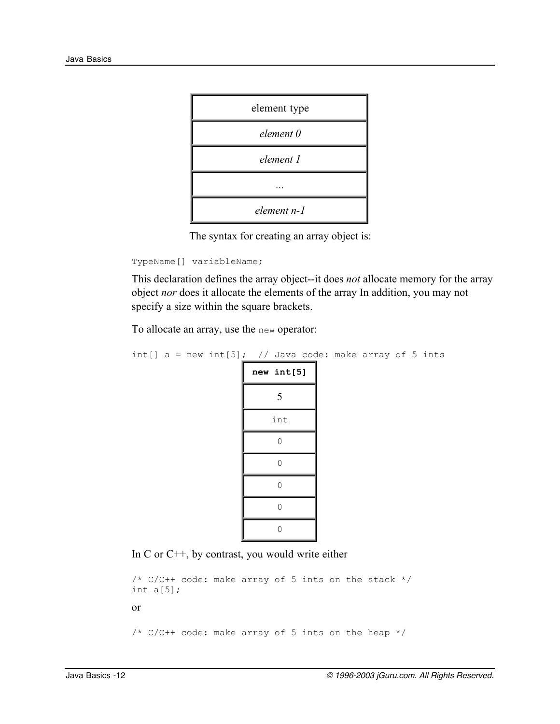

The syntax for creating an array object is:

TypeName[] variableName;

This declaration defines the array object--it does *not* allocate memory for the array object *nor* does it allocate the elements of the array In addition, you may not specify a size within the square brackets.

To allocate an array, use the new operator:

int[]  $a = new int[5]$ ; // Java code: make array of 5 ints **new int[5]** 5 int 0 0 0 0

In C or C++, by contrast, you would write either

```
/* C/C++ code: make array of 5 ints on the stack */int a[5];
or
/* C/C++ code: make array of 5 ints on the heap */
```
0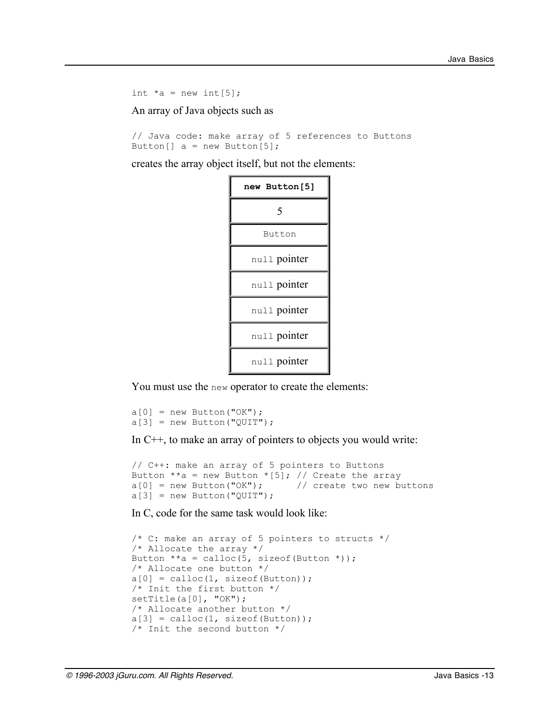int  $a = new int[5]$ ;

An array of Java objects such as

// Java code: make array of 5 references to Buttons Button[]  $a = new Button[5]$ ;

creates the array object itself, but not the elements:

| new Button[5] |
|---------------|
| 5             |
| Button        |
| null pointer  |
| null pointer  |
| null pointer  |
| null pointer  |
| null pointer  |

You must use the new operator to create the elements:

```
a[0] = new Button("OK");
a[3] = new Button("QUIT");
```
In C++, to make an array of pointers to objects you would write:

```
// C++: make an array of 5 pointers to Buttons
Button **a = new Button *(5); // Create the array
a[0] = new Button("OK"); // create two new buttons
a[3] = new Button("QUIT");
```
In C, code for the same task would look like:

```
/* C: make an array of 5 pointers to structs */
/* Allocate the array */
Button **a = calloc(5, sizeof(Button *));/* Allocate one button */
a[0] = calloc(1, sizeof(Button));/* Init the first button */
setTitle(a[0], "OK");
/* Allocate another button */
a[3] = calloc(1, sizeof(Button));/* Init the second button */
```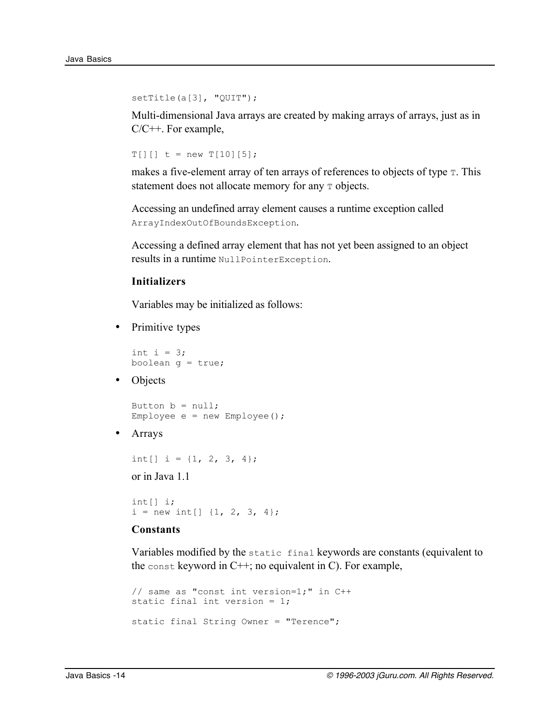```
setTitle(a[3], "QUIT");
```
Multi-dimensional Java arrays are created by making arrays of arrays, just as in C/C++. For example,

 $T[]$ []  $t = new T[10][5]$ ;

makes a five-element array of ten arrays of references to objects of type  $\text{I}$ . This statement does not allocate memory for any  $\textcolor{black}{\texttt{T}}$  objects.

Accessing an undefined array element causes a runtime exception called ArrayIndexOutOfBoundsException.

Accessing a defined array element that has not yet been assigned to an object results in a runtime NullPointerException.

#### **Initializers**

Variables may be initialized as follows:

Primitive types

int  $i = 3;$ boolean  $q = true;$ 

**Objects** 

```
Button b = null;Employee e = new Emplope();
```
#### Arrays

int[]  $i = \{1, 2, 3, 4\}$ ;

or in Java 1.1

int[] i;  $i = new int[] {1, 2, 3, 4};$ 

#### **Constants**

Variables modified by the static final keywords are constants (equivalent to the const keyword in  $C++$ ; no equivalent in C). For example,

```
// same as "const int version=1;" in C++
static final int version = 1:
static final String Owner = "Terence";
```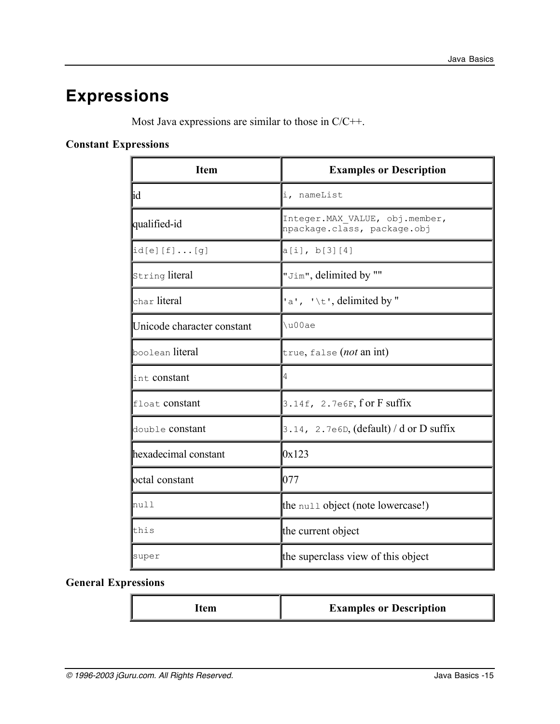# **Expressions**

Most Java expressions are similar to those in C/C++.

### **Constant Expressions**

| <b>Item</b>                | <b>Examples or Description</b>                                 |
|----------------------------|----------------------------------------------------------------|
| lid                        | i, nameList                                                    |
| qualified-id               | Integer. MAX VALUE, obj.member,<br>npackage.class, package.obj |
| $id[e][f] \ldots [g]$      | a[i], b[3][4]                                                  |
| String literal             | "Jim", delimited by ""                                         |
| char literal               | 'a', '\t', delimited by"                                       |
| Unicode character constant | \u00ae                                                         |
| boolean literal            | true, false (not an int)                                       |
| int constant               | 4                                                              |
| float constant             | 3.14f, $2.7e6F$ , for F suffix                                 |
| double constant            | 3.14, $2.7e6D$ , (default) / d or D suffix                     |
| hexadecimal constant       | 0x123                                                          |
| octal constant             | 077                                                            |
| null                       | the null object (note lowercase!)                              |
| this                       | the current object                                             |
| super                      | the superclass view of this object                             |

#### **General Expressions**

| rem | <b>Examples or Description</b> |
|-----|--------------------------------|
|     |                                |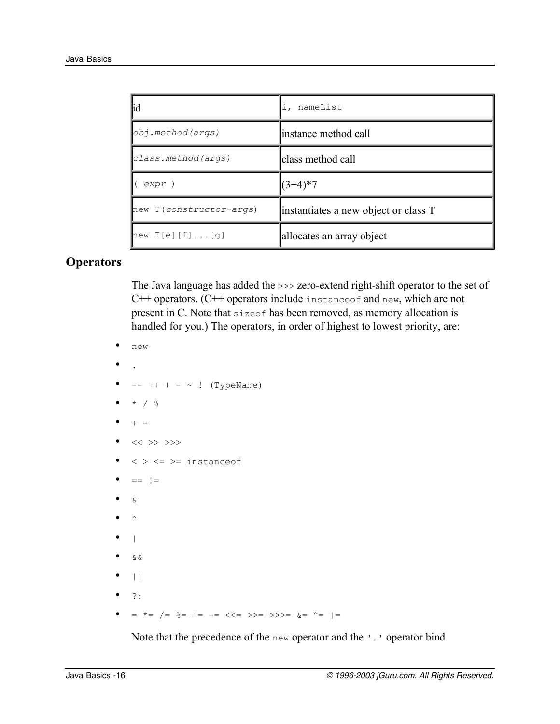| id                       | nameList                             |
|--------------------------|--------------------------------------|
| obj.method(args)         | linstance method call                |
| class.method(args)       | class method call                    |
| (expr)                   | $(3+4)*7$                            |
| new T(constructor-args)  | instantiates a new object or class T |
| new $T[e][f] \ldots [g]$ | allocates an array object            |

#### **Operators**

new

The Java language has added the >>> zero-extend right-shift operator to the set of C++ operators. (C++ operators include instanceof and new, which are not present in C. Note that sizeof has been removed, as memory allocation is handled for you.) The operators, in order of highest to lowest priority, are:

```
.
--+++--+ ! (TypeName)
* / %
+ -\ll \gg \gg \gg\langle \rangle \langle = \rangle = 1 instance of
== !=&
\lambda|
\& \&||?:
= * = / = ? = += - = \langle \langle = > \rangle = \rangle \rangle = \langle = | = \rangle =
```
Note that the precedence of the new operator and the '.' operator bind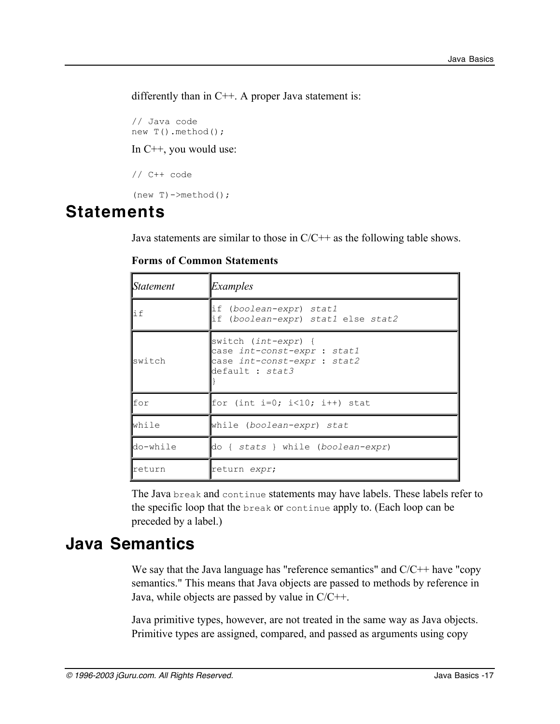differently than in  $C++$ . A proper Java statement is:

// Java code new T().method();

In  $C_{++}$ , you would use:

// C++ code  $(new T)-\text{Method}$   $($   $);$ 

# **Statements**

Java statements are similar to those in C/C++ as the following table shows.

| Statement | Examples                                                                                                      |
|-----------|---------------------------------------------------------------------------------------------------------------|
| if        | (boolean-expr) statl<br>if<br>if (boolean-expr) stat1 else stat2                                              |
| switch    | switch ( <i>int-expr</i> ) {<br>case int-const-expr : statl<br>case int-const-expr : stat2<br>default : stat3 |
| for       | for (int i=0; $i<10$ ; i++) stat                                                                              |
| while     | while (boolean-expr) stat                                                                                     |
| do-while  | do { stats } while (boolean-expr)                                                                             |
| return    | return expr;                                                                                                  |

**Forms of Common Statements**

The Java break and continue statements may have labels. These labels refer to the specific loop that the break or continue apply to. (Each loop can be preceded by a label.)

## **Java Semantics**

We say that the Java language has "reference semantics" and  $C/C++$  have "copy" semantics." This means that Java objects are passed to methods by reference in Java, while objects are passed by value in C/C++.

Java primitive types, however, are not treated in the same way as Java objects. Primitive types are assigned, compared, and passed as arguments using copy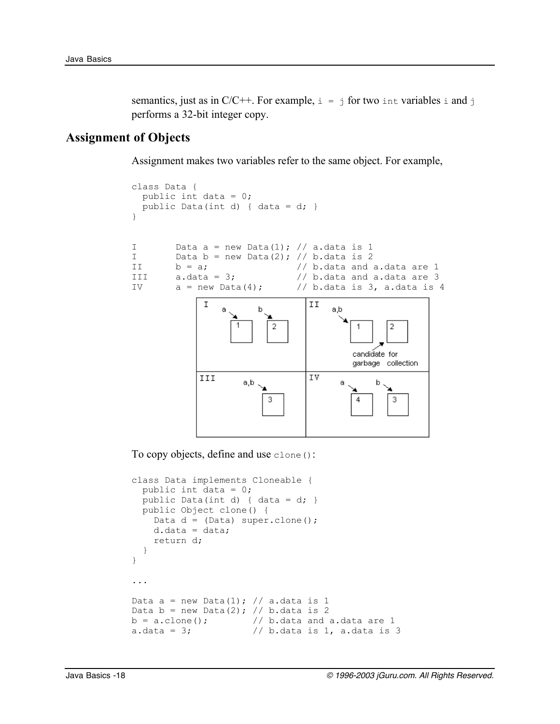semantics, just as in  $C/C++$ . For example,  $i = j$  for two int variables i and j performs a 32-bit integer copy.

#### **Assignment of Objects**

Assignment makes two variables refer to the same object. For example,

```
class Data {
   public int data = 0;
  public Data(int d) { data = d; }
}
I Data a = new Data(1); // a.data is 1
I Data b = new Data(2); \frac{1}{1} b = a; \frac{1}{2} b.data and
                                 1/ b.data and a.data are 1
III a.data = 3; // b.data and a.data are 3IV a = new Data(4); // b.data is 3, a.data is 4
                                    II
              I
                         h
                                        ah
                            \overline{2}\mathcal{D}1
                                             candidate for
                                             garbage collection
                                    TVIII
                      a,b
                                          а
                                                 b
                           3
                                                     3
                                             4
```
To copy objects, define and use clone():

```
class Data implements Cloneable {
  public int data = 0;
  public Data(int d) { data = d; }
   public Object clone() {
    Data d = (Data) super.close();
    d.data = data; return d;
   }
}
...
Data a = new Data(1); // a.data is 1
Data b = new Data(2); // b.data is 2
b = a.clone(); // b.data and a.data are 1
a.data = 3; \frac{1}{10} b.data is 1, a.data is 3
```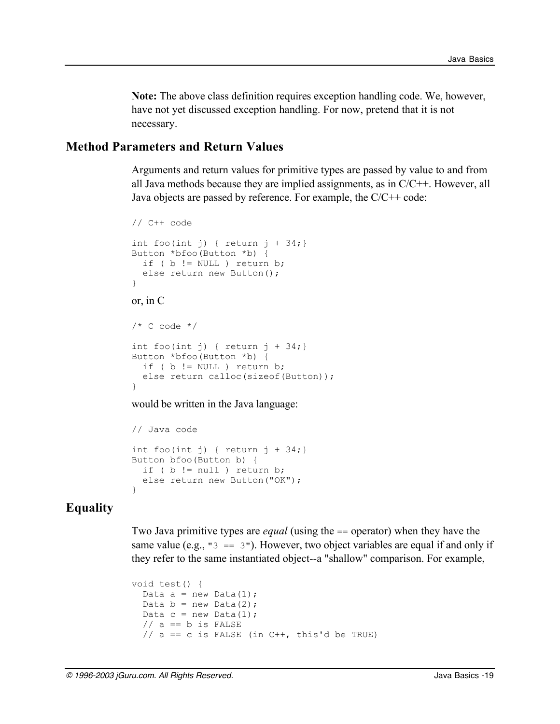**Note:** The above class definition requires exception handling code. We, however, have not yet discussed exception handling. For now, pretend that it is not necessary.

#### **Method Parameters and Return Values**

Arguments and return values for primitive types are passed by value to and from all Java methods because they are implied assignments, as in C/C++. However, all Java objects are passed by reference. For example, the C/C++ code:

```
// C++ code
int foo(int j) { return j + 34; }
Button *bfoo(Button *b) {
  if ( b != NULL ) return b;
  else return new Button();
\mathbf{I}or, in C
/* C code */int foo(int j) { return j + 34;}
Button *bfoo(Button *b) {
  if ( b != NULL ) return b;
   else return calloc(sizeof(Button));
}
```
would be written in the Java language:

```
// Java code
int foo(int j) { return j + 34;}
Button bfoo(Button b) {
 if (b := null) return b;
  else return new Button("OK");
}
```
### **Equality**

Two Java primitive types are *equal* (using the == operator) when they have the same value (e.g., " $3 == 3$ "). However, two object variables are equal if and only if they refer to the same instantiated object--a "shallow" comparison. For example,

```
void test() {
  Data a = new Data(1);
  Data b = new Data(2);
  Data c = new Data(1);
  // a == b is FALSE// a == c is FALSE (in C++, this'd be TRUE)
```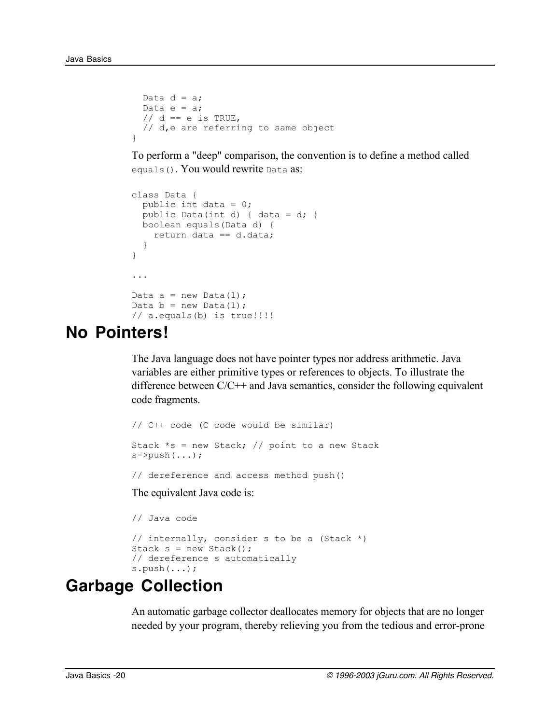```
Data d = a;
 Data e = a;
 // d == e is TRUE,
  // d,e are referring to same object
}
```
To perform a "deep" comparison, the convention is to define a method called equals(). You would rewrite Data as:

```
class Data {
   public int data = 0;
  public Data(int d) { data = d; }
   boolean equals(Data d) {
     return data == d.data;
   }
}
...
Data a = new Data(1);
Data b = new Data(1);
// a.equals(b) is true!!!!
```
### **No Pointers!**

The Java language does not have pointer types nor address arithmetic. Java variables are either primitive types or references to objects. To illustrate the difference between  $C/C++$  and Java semantics, consider the following equivalent code fragments.

```
// C++ code (C code would be similar)
Stack *s = new Stack; // point to a new Stack
s->push(\ldots);// dereference and access method push()
```
The equivalent Java code is:

```
// Java code
// internally, consider s to be a (Stack *)
Stack s = new Stack();
// dereference s automatically
s.push(...);
```
### **Garbage Collection**

An automatic garbage collector deallocates memory for objects that are no longer needed by your program, thereby relieving you from the tedious and error-prone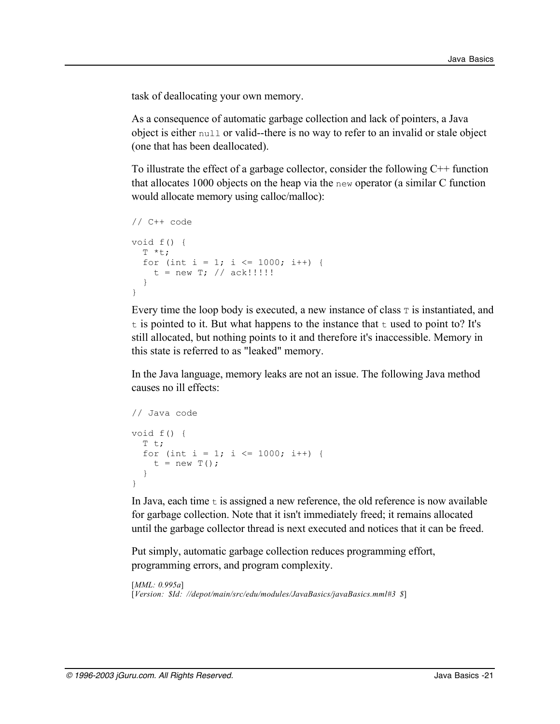task of deallocating your own memory.

As a consequence of automatic garbage collection and lack of pointers, a Java object is either null or valid--there is no way to refer to an invalid or stale object (one that has been deallocated).

To illustrate the effect of a garbage collector, consider the following  $C++$  function that allocates 1000 objects on the heap via the new operator (a similar C function would allocate memory using calloc/malloc):

```
// C++ code
void f() {
   T *t;
  for (int i = 1; i <= 1000; i++) {
    t = new T; // ack!!!!! }
}
```
Every time the loop body is executed, a new instance of class  $\tau$  is instantiated, and  $t$  is pointed to it. But what happens to the instance that  $t$  used to point to? It's still allocated, but nothing points to it and therefore it's inaccessible. Memory in this state is referred to as "leaked" memory.

In the Java language, memory leaks are not an issue. The following Java method causes no ill effects:

```
// Java code
void f() {
   T t;
  for (int i = 1; i <= 1000; i++) {
    t = new T();
   }
}
```
In Java, each time  $t$  is assigned a new reference, the old reference is now available for garbage collection. Note that it isn't immediately freed; it remains allocated until the garbage collector thread is next executed and notices that it can be freed.

Put simply, automatic garbage collection reduces programming effort, programming errors, and program complexity.

[*MML: 0.995a*] [*Version: \$Id: //depot/main/src/edu/modules/JavaBasics/javaBasics.mml#3 \$*]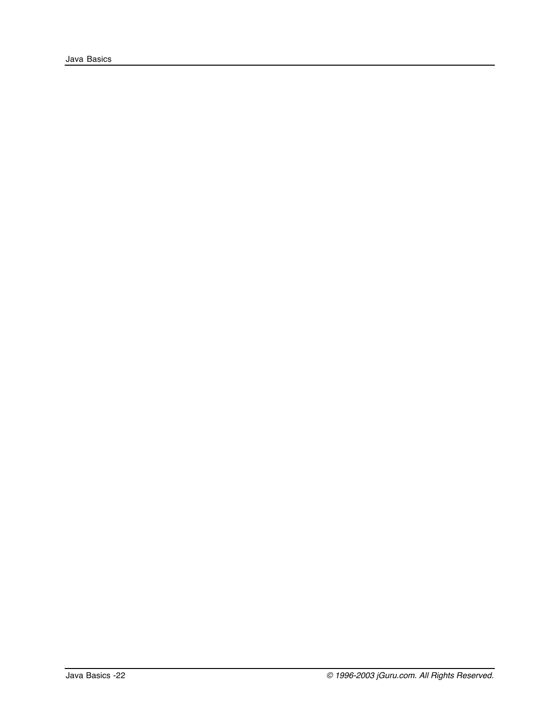Java Basics